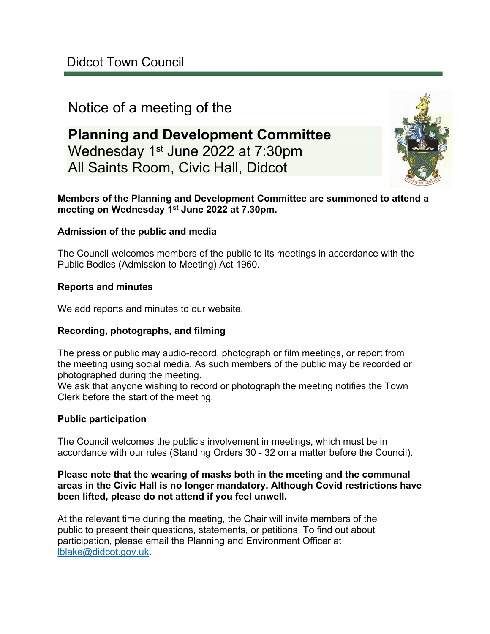# Notice of a meeting of the

# **Planning and Development Committee** Wednesday 1st June 2022 at 7:30pm All Saints Room, Civic Hall, Didcot



## **Members of the Planning and Development Committee are summoned to attend a meeting on Wednesday 1st June 2022 at 7.30pm.**

# **Admission of the public and media**

The Council welcomes members of the public to its meetings in accordance with the Public Bodies (Admission to Meeting) Act 1960.

## **Reports and minutes**

We add reports and minutes to our website.

#### **Recording, photographs, and filming**

The press or public may audio-record, photograph or film meetings, or report from the meeting using social media. As such members of the public may be recorded or photographed during the meeting.

We ask that anyone wishing to record or photograph the meeting notifies the Town Clerk before the start of the meeting.

#### **Public participation**

The Council welcomes the public's involvement in meetings, which must be in accordance with our rules (Standing Orders 30 - 32 on a matter before the Council).

#### **Please note that the wearing of masks both in the meeting and the communal areas in the Civic Hall is no longer mandatory. Although Covid restrictions have been lifted, please do not attend if you feel unwell.**

At the relevant time during the meeting, the Chair will invite members of the public to present their questions, statements, or petitions. To find out about participation, please email the Planning and Environment Officer at [lblake@didcot.gov.uk](mailto:lblake@didcot.gov.uk).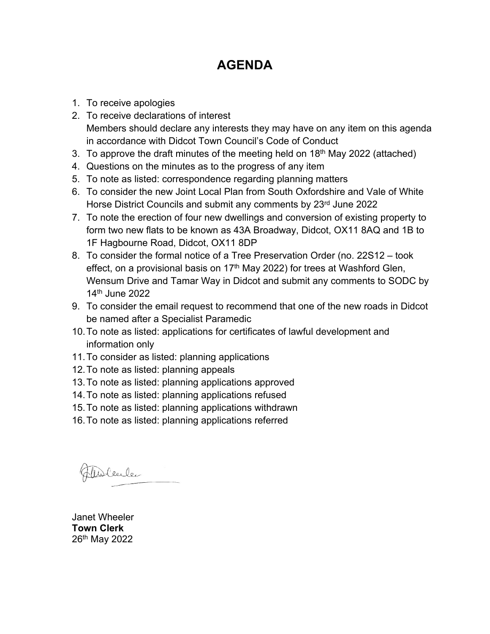# **AGENDA**

- 1. To receive apologies
- 2. To receive declarations of interest Members should declare any interests they may have on any item on this agenda in accordance with Didcot Town Council's Code of Conduct
- 3. To approve the draft minutes of the meeting held on 18th May 2022 (attached)
- 4. Questions on the minutes as to the progress of any item
- 5. To note as listed: correspondence regarding planning matters
- 6. To consider the new Joint Local Plan from South Oxfordshire and Vale of White Horse District Councils and submit any comments by 23<sup>rd</sup> June 2022
- 7. To note the erection of four new dwellings and conversion of existing property to form two new flats to be known as 43A Broadway, Didcot, OX11 8AQ and 1B to 1F Hagbourne Road, Didcot, OX11 8DP
- 8. To consider the formal notice of a Tree Preservation Order (no. 22S12 took effect, on a provisional basis on 17<sup>th</sup> May 2022) for trees at Washford Glen, Wensum Drive and Tamar Way in Didcot and submit any comments to SODC by 14th June 2022
- 9. To consider the email request to recommend that one of the new roads in Didcot be named after a Specialist Paramedic
- 10.To note as listed: applications for certificates of lawful development and information only
- 11.To consider as listed: planning applications
- 12.To note as listed: planning appeals
- 13.To note as listed: planning applications approved
- 14.To note as listed: planning applications refused
- 15.To note as listed: planning applications withdrawn
- 16.To note as listed: planning applications referred

Fableule

Janet Wheeler **Town Clerk** 26th May 2022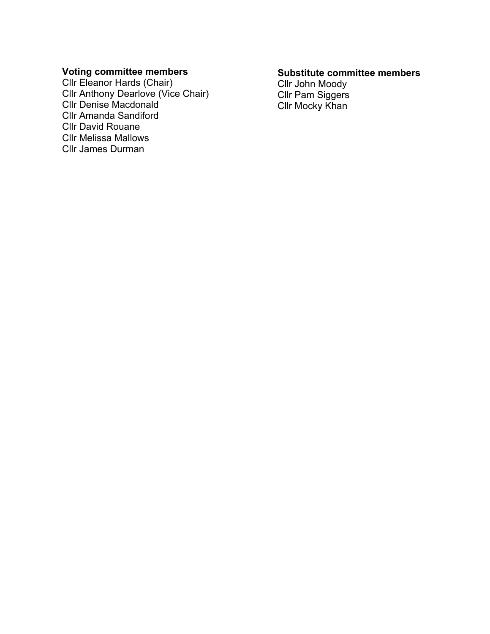#### **Voting committee members**

Cllr Eleanor Hards (Chair) Cllr Anthony Dearlove (Vice Chair) Cllr Denise Macdonald Cllr Amanda Sandiford Cllr David Rouane Cllr Melissa Mallows Cllr James Durman

#### **Substitute committee members**

Cllr John Moody Cllr Pam Siggers Cllr Mocky Khan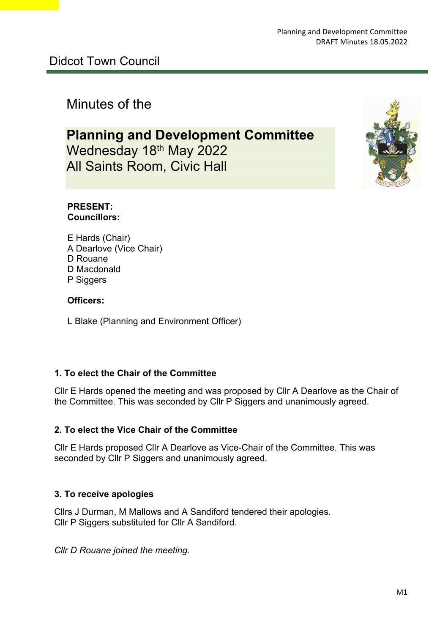# Minutes of the

# **Planning and Development Committee** Wednesday 18th May 2022 All Saints Room, Civic Hall



#### **PRESENT: Councillors:**

E Hards (Chair) A Dearlove (Vice Chair) D Rouane D Macdonald P Siggers

## **Officers:**

L Blake (Planning and Environment Officer)

# **1. To elect the Chair of the Committee**

Cllr E Hards opened the meeting and was proposed by Cllr A Dearlove as the Chair of the Committee. This was seconded by Cllr P Siggers and unanimously agreed.

# **2. To elect the Vice Chair of the Committee**

Cllr E Hards proposed Cllr A Dearlove as Vice-Chair of the Committee. This was seconded by Cllr P Siggers and unanimously agreed.

#### **3. To receive apologies**

Cllrs J Durman, M Mallows and A Sandiford tendered their apologies. Cllr P Siggers substituted for Cllr A Sandiford.

*Cllr D Rouane joined the meeting.*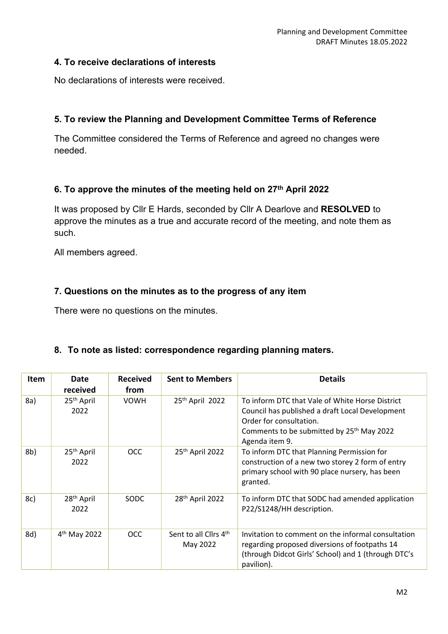#### **4. To receive declarations of interests**

No declarations of interests were received.

## **5. To review the Planning and Development Committee Terms of Reference**

The Committee considered the Terms of Reference and agreed no changes were needed.

## **6. To approve the minutes of the meeting held on 27th April 2022**

It was proposed by Cllr E Hards, seconded by Cllr A Dearlove and **RESOLVED** to approve the minutes as a true and accurate record of the meeting, and note them as such.

All members agreed.

## **7. Questions on the minutes as to the progress of any item**

There were no questions on the minutes.

#### **8. To note as listed: correspondence regarding planning maters.**

| <b>Item</b> | <b>Date</b><br>received        | <b>Received</b><br>from | <b>Sent to Members</b>            | <b>Details</b>                                                                                                                                                                                           |
|-------------|--------------------------------|-------------------------|-----------------------------------|----------------------------------------------------------------------------------------------------------------------------------------------------------------------------------------------------------|
| 8a)         | 25 <sup>th</sup> April<br>2022 | <b>VOWH</b>             | 25th April 2022                   | To inform DTC that Vale of White Horse District<br>Council has published a draft Local Development<br>Order for consultation.<br>Comments to be submitted by 25 <sup>th</sup> May 2022<br>Agenda item 9. |
| 8b)         | 25 <sup>th</sup> April<br>2022 | <b>OCC</b>              | 25th April 2022                   | To inform DTC that Planning Permission for<br>construction of a new two storey 2 form of entry<br>primary school with 90 place nursery, has been<br>granted.                                             |
| 8c)         | 28 <sup>th</sup> April<br>2022 | SODC                    | 28 <sup>th</sup> April 2022       | To inform DTC that SODC had amended application<br>P22/S1248/HH description.                                                                                                                             |
| 8d)         | $4th$ May 2022                 | <b>OCC</b>              | Sent to all Cllrs 4th<br>May 2022 | Invitation to comment on the informal consultation<br>regarding proposed diversions of footpaths 14<br>(through Didcot Girls' School) and 1 (through DTC's<br>pavilion).                                 |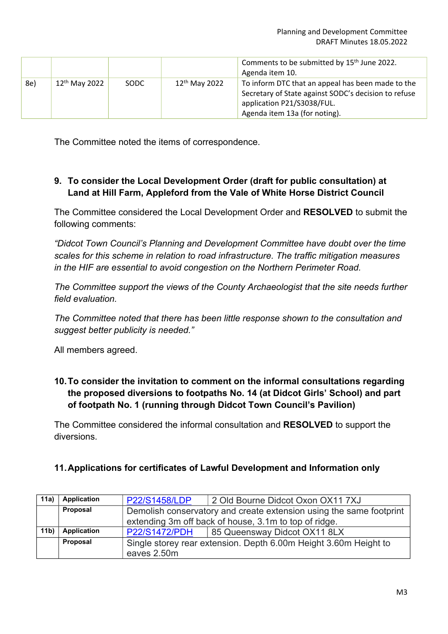|     |                           |      |                           | Comments to be submitted by 15 <sup>th</sup> June 2022.<br>Agenda item 10.                                                                                               |
|-----|---------------------------|------|---------------------------|--------------------------------------------------------------------------------------------------------------------------------------------------------------------------|
| 8e) | 12 <sup>th</sup> May 2022 | SODC | 12 <sup>th</sup> May 2022 | To inform DTC that an appeal has been made to the<br>Secretary of State against SODC's decision to refuse<br>application P21/S3038/FUL.<br>Agenda item 13a (for noting). |

The Committee noted the items of correspondence.

# **9. To consider the Local Development Order (draft for public consultation) at Land at Hill Farm, Appleford from the Vale of White Horse District Council**

The Committee considered the Local Development Order and **RESOLVED** to submit the following comments:

*"Didcot Town Council's Planning and Development Committee have doubt over the time scales for this scheme in relation to road infrastructure. The traffic mitigation measures in the HIF are essential to avoid congestion on the Northern Perimeter Road.*

*The Committee support the views of the County Archaeologist that the site needs further field evaluation.* 

*The Committee noted that there has been little response shown to the consultation and suggest better publicity is needed."* 

All members agreed.

# **10.To consider the invitation to comment on the informal consultations regarding the proposed diversions to footpaths No. 14 (at Didcot Girls' School) and part of footpath No. 1 (running through Didcot Town Council's Pavilion)**

The Committee considered the informal consultation and **RESOLVED** to support the diversions.

# **11.Applications for certificates of Lawful Development and Information only**

| 11a)            | <b>Application</b> | <b>P22/S1458/LDP</b>                                             | 2 Old Bourne Didcot Oxon OX11 7XJ                                   |  |
|-----------------|--------------------|------------------------------------------------------------------|---------------------------------------------------------------------|--|
|                 | Proposal           |                                                                  | Demolish conservatory and create extension using the same footprint |  |
|                 |                    |                                                                  | extending 3m off back of house, 3.1m to top of ridge.               |  |
| 11 <sub>b</sub> | Application        | <b>P22/S1472/PDH</b>                                             | 85 Queensway Didcot OX11 8LX                                        |  |
|                 | Proposal           | Single storey rear extension. Depth 6.00m Height 3.60m Height to |                                                                     |  |
|                 |                    | eaves 2.50m                                                      |                                                                     |  |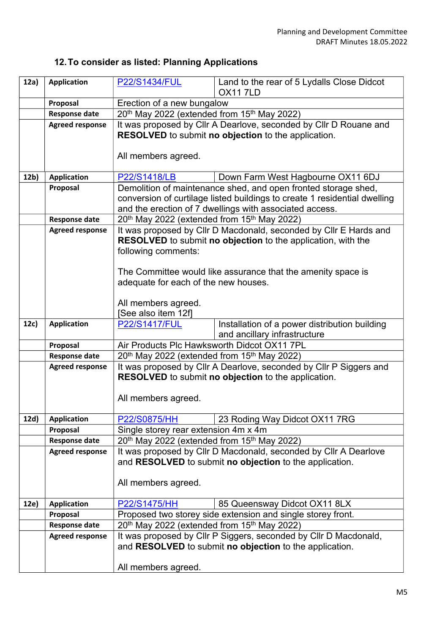# **12.To consider as listed: Planning Applications**

| 12a)            | <b>Application</b>                             | <b>P22/S1434/FUL</b>                                                | Land to the rear of 5 Lydalls Close Didcot                                |  |
|-----------------|------------------------------------------------|---------------------------------------------------------------------|---------------------------------------------------------------------------|--|
|                 |                                                |                                                                     | <b>OX117LD</b>                                                            |  |
|                 | Proposal                                       | Erection of a new bungalow                                          |                                                                           |  |
|                 | <b>Response date</b>                           | 20 <sup>th</sup> May 2022 (extended from 15 <sup>th</sup> May 2022) |                                                                           |  |
|                 | <b>Agreed response</b>                         |                                                                     | It was proposed by Cllr A Dearlove, seconded by Cllr D Rouane and         |  |
|                 |                                                |                                                                     | RESOLVED to submit no objection to the application.                       |  |
|                 |                                                |                                                                     |                                                                           |  |
|                 |                                                | All members agreed.                                                 |                                                                           |  |
| 12 <sub>b</sub> | <b>Application</b>                             | <b>P22/S1418/LB</b>                                                 | Down Farm West Hagbourne OX11 6DJ                                         |  |
|                 | Proposal                                       |                                                                     | Demolition of maintenance shed, and open fronted storage shed,            |  |
|                 |                                                |                                                                     | conversion of curtilage listed buildings to create 1 residential dwelling |  |
|                 |                                                |                                                                     | and the erection of 7 dwellings with associated access.                   |  |
|                 | <b>Response date</b>                           | 20 <sup>th</sup> May 2022 (extended from 15 <sup>th</sup> May 2022) |                                                                           |  |
|                 | <b>Agreed response</b>                         |                                                                     | It was proposed by Cllr D Macdonald, seconded by Cllr E Hards and         |  |
|                 |                                                |                                                                     | RESOLVED to submit no objection to the application, with the              |  |
|                 |                                                | following comments:                                                 |                                                                           |  |
|                 |                                                |                                                                     |                                                                           |  |
|                 |                                                |                                                                     | The Committee would like assurance that the amenity space is              |  |
|                 |                                                | adequate for each of the new houses.                                |                                                                           |  |
|                 |                                                | All members agreed.                                                 |                                                                           |  |
|                 |                                                | [See also item 12f]                                                 |                                                                           |  |
| 12c)            | <b>Application</b>                             | <b>P22/S1417/FUL</b>                                                | Installation of a power distribution building                             |  |
|                 |                                                |                                                                     | and ancillary infrastructure                                              |  |
|                 | Proposal                                       | Air Products Plc Hawksworth Didcot OX11 7PL                         |                                                                           |  |
|                 | <b>Response date</b>                           | $20th$ May 2022 (extended from 15 <sup>th</sup> May 2022)           |                                                                           |  |
|                 | <b>Agreed response</b>                         |                                                                     | It was proposed by Cllr A Dearlove, seconded by Cllr P Siggers and        |  |
|                 |                                                | RESOLVED to submit no objection to the application.                 |                                                                           |  |
|                 |                                                |                                                                     |                                                                           |  |
|                 |                                                | All members agreed.                                                 |                                                                           |  |
| 12d)            | <b>Application</b>                             | P22/S0875/HH                                                        | 23 Roding Way Didcot OX11 7RG                                             |  |
|                 | Proposal                                       | Single storey rear extension 4m x 4m                                |                                                                           |  |
|                 | <b>Response date</b>                           | 20 <sup>th</sup> May 2022 (extended from 15 <sup>th</sup> May 2022) |                                                                           |  |
|                 | <b>Agreed response</b>                         |                                                                     | It was proposed by Cllr D Macdonald, seconded by Cllr A Dearlove          |  |
|                 |                                                |                                                                     | and RESOLVED to submit no objection to the application.                   |  |
|                 |                                                |                                                                     |                                                                           |  |
|                 |                                                | All members agreed.                                                 |                                                                           |  |
|                 |                                                |                                                                     |                                                                           |  |
| 12e)            | <b>Application</b>                             | P22/S1475/HH                                                        | 85 Queensway Didcot OX11 8LX                                              |  |
|                 | Proposal                                       |                                                                     | Proposed two storey side extension and single storey front.               |  |
|                 | <b>Response date</b><br><b>Agreed response</b> | 20 <sup>th</sup> May 2022 (extended from 15 <sup>th</sup> May 2022) | It was proposed by Cllr P Siggers, seconded by Cllr D Macdonald,          |  |
|                 |                                                |                                                                     | and RESOLVED to submit no objection to the application.                   |  |
|                 |                                                |                                                                     |                                                                           |  |
|                 |                                                | All members agreed.                                                 |                                                                           |  |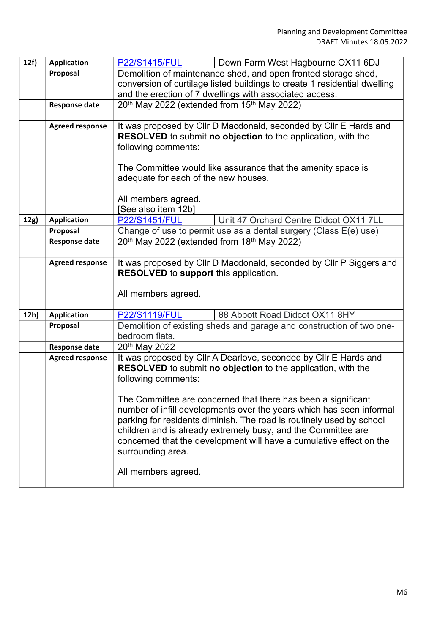| 12f) | <b>Application</b>               | <b>P22/S1415/FUL</b><br>Down Farm West Hagbourne OX11 6DJ                                                                               |  |  |
|------|----------------------------------|-----------------------------------------------------------------------------------------------------------------------------------------|--|--|
|      | Proposal                         | Demolition of maintenance shed, and open fronted storage shed,                                                                          |  |  |
|      |                                  | conversion of curtilage listed buildings to create 1 residential dwelling                                                               |  |  |
|      |                                  | and the erection of 7 dwellings with associated access.                                                                                 |  |  |
|      | <b>Response date</b>             | 20 <sup>th</sup> May 2022 (extended from 15 <sup>th</sup> May 2022)                                                                     |  |  |
|      |                                  |                                                                                                                                         |  |  |
|      | <b>Agreed response</b>           | It was proposed by Cllr D Macdonald, seconded by Cllr E Hards and<br>RESOLVED to submit no objection to the application, with the       |  |  |
|      |                                  | following comments:                                                                                                                     |  |  |
|      |                                  |                                                                                                                                         |  |  |
|      |                                  | The Committee would like assurance that the amenity space is                                                                            |  |  |
|      |                                  | adequate for each of the new houses.                                                                                                    |  |  |
|      |                                  |                                                                                                                                         |  |  |
|      |                                  | All members agreed.                                                                                                                     |  |  |
|      |                                  | [See also item 12b]<br>Unit 47 Orchard Centre Didcot OX11 7LL                                                                           |  |  |
| 12g) | <b>Application</b>               | <b>P22/S1451/FUL</b>                                                                                                                    |  |  |
|      | Proposal<br><b>Response date</b> | Change of use to permit use as a dental surgery (Class E(e) use)<br>20 <sup>th</sup> May 2022 (extended from 18 <sup>th</sup> May 2022) |  |  |
|      |                                  |                                                                                                                                         |  |  |
|      | <b>Agreed response</b>           | It was proposed by Cllr D Macdonald, seconded by Cllr P Siggers and                                                                     |  |  |
|      |                                  | <b>RESOLVED</b> to support this application.                                                                                            |  |  |
|      |                                  |                                                                                                                                         |  |  |
|      |                                  | All members agreed.                                                                                                                     |  |  |
| 12h) | <b>Application</b>               | <b>P22/S1119/FUL</b><br>88 Abbott Road Didcot OX11 8HY                                                                                  |  |  |
|      | Proposal                         | Demolition of existing sheds and garage and construction of two one-                                                                    |  |  |
|      |                                  | bedroom flats.                                                                                                                          |  |  |
|      | <b>Response date</b>             | 20th May 2022                                                                                                                           |  |  |
|      | <b>Agreed response</b>           | It was proposed by Cllr A Dearlove, seconded by Cllr E Hards and                                                                        |  |  |
|      |                                  | RESOLVED to submit no objection to the application, with the                                                                            |  |  |
|      |                                  | following comments:                                                                                                                     |  |  |
|      |                                  | The Committee are concerned that there has been a significant                                                                           |  |  |
|      |                                  | number of infill developments over the years which has seen informal                                                                    |  |  |
|      |                                  | parking for residents diminish. The road is routinely used by school                                                                    |  |  |
|      |                                  | children and is already extremely busy, and the Committee are                                                                           |  |  |
|      |                                  | concerned that the development will have a cumulative effect on the                                                                     |  |  |
|      |                                  | surrounding area.                                                                                                                       |  |  |
|      |                                  |                                                                                                                                         |  |  |
|      |                                  | All members agreed.                                                                                                                     |  |  |
|      |                                  |                                                                                                                                         |  |  |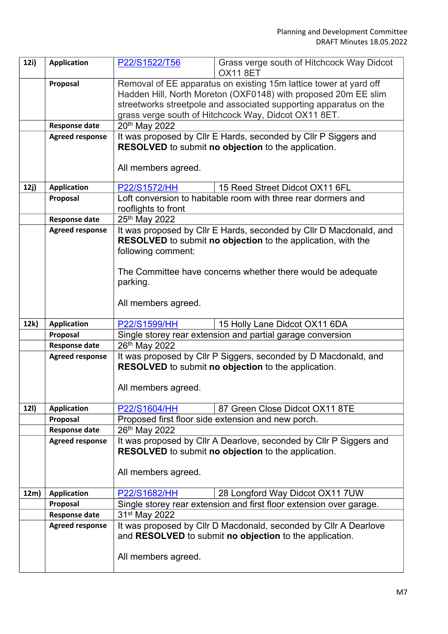| 12i)        | <b>Application</b>     | P22/S1522/T56             | Grass verge south of Hitchcock Way Didcot<br><b>OX11 8ET</b>                                    |
|-------------|------------------------|---------------------------|-------------------------------------------------------------------------------------------------|
|             | Proposal               |                           | Removal of EE apparatus on existing 15m lattice tower at yard off                               |
|             |                        |                           | Hadden Hill, North Moreton (OXF0148) with proposed 20m EE slim                                  |
|             |                        |                           | streetworks streetpole and associated supporting apparatus on the                               |
|             | <b>Response date</b>   | 20th May 2022             | grass verge south of Hitchcock Way, Didcot OX11 8ET.                                            |
|             | <b>Agreed response</b> |                           | It was proposed by CIIr E Hards, seconded by CIIr P Siggers and                                 |
|             |                        |                           | <b>RESOLVED</b> to submit no objection to the application.                                      |
|             |                        |                           |                                                                                                 |
|             |                        | All members agreed.       |                                                                                                 |
|             |                        |                           |                                                                                                 |
| 12j)        | <b>Application</b>     | P22/S1572/HH              | 15 Reed Street Didcot OX11 6FL<br>Loft conversion to habitable room with three rear dormers and |
|             | Proposal               | rooflights to front       |                                                                                                 |
|             | <b>Response date</b>   | 25th May 2022             |                                                                                                 |
|             | <b>Agreed response</b> |                           | It was proposed by Cllr E Hards, seconded by Cllr D Macdonald, and                              |
|             |                        |                           | <b>RESOLVED</b> to submit no objection to the application, with the                             |
|             |                        | following comment:        |                                                                                                 |
|             |                        |                           |                                                                                                 |
|             |                        |                           | The Committee have concerns whether there would be adequate                                     |
|             |                        | parking.                  |                                                                                                 |
|             |                        | All members agreed.       |                                                                                                 |
|             |                        |                           |                                                                                                 |
| 12k)        | <b>Application</b>     | P22/S1599/HH              | 15 Holly Lane Didcot OX11 6DA                                                                   |
|             | Proposal               |                           | Single storey rear extension and partial garage conversion                                      |
|             | <b>Response date</b>   | 26th May 2022             |                                                                                                 |
|             | <b>Agreed response</b> |                           | It was proposed by Cllr P Siggers, seconded by D Macdonald, and                                 |
|             |                        |                           | <b>RESOLVED</b> to submit no objection to the application.                                      |
|             |                        |                           |                                                                                                 |
|             |                        |                           |                                                                                                 |
|             |                        | All members agreed.       |                                                                                                 |
| <b>12I)</b> | <b>Application</b>     | P22/S1604/HH              | 87 Green Close Didcot OX11 8TE                                                                  |
|             | Proposal               |                           | Proposed first floor side extension and new porch.                                              |
|             | <b>Response date</b>   | 26th May 2022             |                                                                                                 |
|             | <b>Agreed response</b> |                           | It was proposed by Cllr A Dearlove, seconded by Cllr P Siggers and                              |
|             |                        |                           | RESOLVED to submit no objection to the application.                                             |
|             |                        |                           |                                                                                                 |
|             |                        | All members agreed.       |                                                                                                 |
| 12m)        | <b>Application</b>     | P22/S1682/HH              | 28 Longford Way Didcot OX11 7UW                                                                 |
|             | Proposal               |                           | Single storey rear extension and first floor extension over garage.                             |
|             | <b>Response date</b>   | 31 <sup>st</sup> May 2022 |                                                                                                 |
|             | <b>Agreed response</b> |                           | It was proposed by Cllr D Macdonald, seconded by Cllr A Dearlove                                |
|             |                        |                           | and RESOLVED to submit no objection to the application.                                         |
|             |                        | All members agreed.       |                                                                                                 |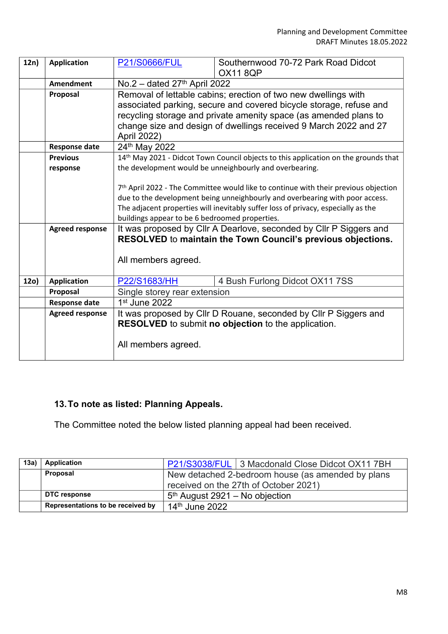| 12n) | <b>Application</b>     | <b>P21/S0666/FUL</b>                                                                                                               | Southernwood 70-72 Park Road Didcot                                                             |  |
|------|------------------------|------------------------------------------------------------------------------------------------------------------------------------|-------------------------------------------------------------------------------------------------|--|
|      |                        |                                                                                                                                    | <b>OX11 8QP</b>                                                                                 |  |
|      | <b>Amendment</b>       | No.2 - dated $27th$ April 2022                                                                                                     |                                                                                                 |  |
|      | Proposal               | Removal of lettable cabins; erection of two new dwellings with                                                                     |                                                                                                 |  |
|      |                        | associated parking, secure and covered bicycle storage, refuse and                                                                 |                                                                                                 |  |
|      |                        | recycling storage and private amenity space (as amended plans to                                                                   |                                                                                                 |  |
|      |                        | change size and design of dwellings received 9 March 2022 and 27                                                                   |                                                                                                 |  |
|      |                        | April 2022)                                                                                                                        |                                                                                                 |  |
|      | <b>Response date</b>   | 24th May 2022                                                                                                                      |                                                                                                 |  |
|      | <b>Previous</b>        |                                                                                                                                    | 14 <sup>th</sup> May 2021 - Didcot Town Council objects to this application on the grounds that |  |
|      | response               |                                                                                                                                    | the development would be unneighbourly and overbearing.                                         |  |
|      |                        |                                                                                                                                    |                                                                                                 |  |
|      |                        |                                                                                                                                    | 7 <sup>th</sup> April 2022 - The Committee would like to continue with their previous objection |  |
|      |                        |                                                                                                                                    | due to the development being unneighbourly and overbearing with poor access.                    |  |
|      |                        | The adjacent properties will inevitably suffer loss of privacy, especially as the                                                  |                                                                                                 |  |
|      |                        | buildings appear to be 6 bedroomed properties.                                                                                     |                                                                                                 |  |
|      | <b>Agreed response</b> | It was proposed by Cllr A Dearlove, seconded by Cllr P Siggers and<br>RESOLVED to maintain the Town Council's previous objections. |                                                                                                 |  |
|      |                        |                                                                                                                                    |                                                                                                 |  |
|      |                        | All members agreed.                                                                                                                |                                                                                                 |  |
|      |                        |                                                                                                                                    |                                                                                                 |  |
| 12o) | <b>Application</b>     | P22/S1683/HH                                                                                                                       | 4 Bush Furlong Didcot OX11 7SS                                                                  |  |
|      | Proposal               | Single storey rear extension                                                                                                       |                                                                                                 |  |
|      | <b>Response date</b>   | 1st June 2022                                                                                                                      |                                                                                                 |  |
|      | <b>Agreed response</b> |                                                                                                                                    | It was proposed by Cllr D Rouane, seconded by Cllr P Siggers and                                |  |
|      |                        |                                                                                                                                    | <b>RESOLVED</b> to submit no objection to the application.                                      |  |
|      |                        |                                                                                                                                    |                                                                                                 |  |
|      |                        | All members agreed.                                                                                                                |                                                                                                 |  |
|      |                        |                                                                                                                                    |                                                                                                 |  |

# **13.To note as listed: Planning Appeals.**

The Committee noted the below listed planning appeal had been received.

| 13a) | Application                       | P21/S3038/FUL 3 Macdonald Close Didcot OX11 7BH   |
|------|-----------------------------------|---------------------------------------------------|
|      | Proposal                          | New detached 2-bedroom house (as amended by plans |
|      |                                   | received on the 27th of October 2021)             |
|      | DTC response                      | $5th$ August 2921 – No objection                  |
|      | Representations to be received by | 14 <sup>th</sup> June 2022                        |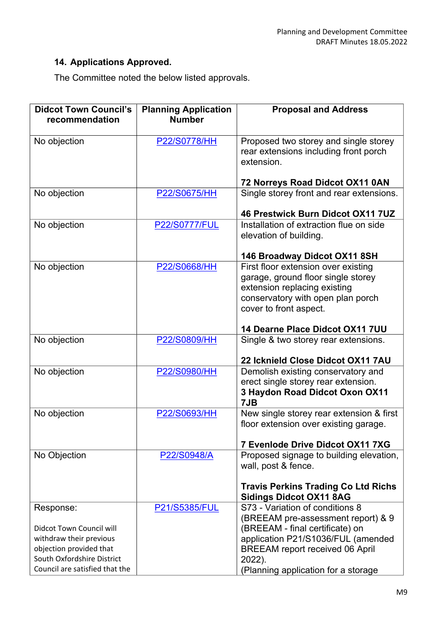# **14. Applications Approved.**

The Committee noted the below listed approvals.

| <b>Didcot Town Council's</b><br>recommendation                                                                                                                     | <b>Planning Application</b><br><b>Number</b> | <b>Proposal and Address</b>                                                                                                                                                                                                               |
|--------------------------------------------------------------------------------------------------------------------------------------------------------------------|----------------------------------------------|-------------------------------------------------------------------------------------------------------------------------------------------------------------------------------------------------------------------------------------------|
| No objection                                                                                                                                                       | P22/S0778/HH                                 | Proposed two storey and single storey<br>rear extensions including front porch<br>extension.                                                                                                                                              |
|                                                                                                                                                                    |                                              | 72 Norreys Road Didcot OX11 0AN                                                                                                                                                                                                           |
| No objection                                                                                                                                                       | P22/S0675/HH                                 | Single storey front and rear extensions.                                                                                                                                                                                                  |
|                                                                                                                                                                    |                                              | 46 Prestwick Burn Didcot OX11 7UZ                                                                                                                                                                                                         |
| No objection                                                                                                                                                       | <b>P22/S0777/FUL</b>                         | Installation of extraction flue on side<br>elevation of building.                                                                                                                                                                         |
|                                                                                                                                                                    |                                              | 146 Broadway Didcot OX11 8SH                                                                                                                                                                                                              |
| No objection                                                                                                                                                       | P22/S0668/HH                                 | First floor extension over existing<br>garage, ground floor single storey<br>extension replacing existing<br>conservatory with open plan porch<br>cover to front aspect.                                                                  |
|                                                                                                                                                                    |                                              | 14 Dearne Place Didcot OX11 7UU                                                                                                                                                                                                           |
| No objection                                                                                                                                                       | P22/S0809/HH                                 | Single & two storey rear extensions.                                                                                                                                                                                                      |
|                                                                                                                                                                    |                                              | 22 Icknield Close Didcot OX11 7AU                                                                                                                                                                                                         |
| No objection                                                                                                                                                       | P22/S0980/HH                                 | Demolish existing conservatory and<br>erect single storey rear extension.<br>3 Haydon Road Didcot Oxon OX11<br>7JB                                                                                                                        |
| No objection                                                                                                                                                       | P22/S0693/HH                                 | New single storey rear extension & first<br>floor extension over existing garage.                                                                                                                                                         |
|                                                                                                                                                                    |                                              | 7 Evenlode Drive Didcot OX11 7XG                                                                                                                                                                                                          |
| No Objection                                                                                                                                                       | P22/S0948/A                                  | Proposed signage to building elevation,<br>wall, post & fence.                                                                                                                                                                            |
|                                                                                                                                                                    |                                              | <b>Travis Perkins Trading Co Ltd Richs</b><br><b>Sidings Didcot OX11 8AG</b>                                                                                                                                                              |
| Response:<br><b>Didcot Town Council will</b><br>withdraw their previous<br>objection provided that<br>South Oxfordshire District<br>Council are satisfied that the | P21/S5385/FUL                                | S73 - Variation of conditions 8<br>(BREEAM pre-assessment report) & 9<br>(BREEAM - final certificate) on<br>application P21/S1036/FUL (amended<br><b>BREEAM</b> report received 06 April<br>2022).<br>(Planning application for a storage |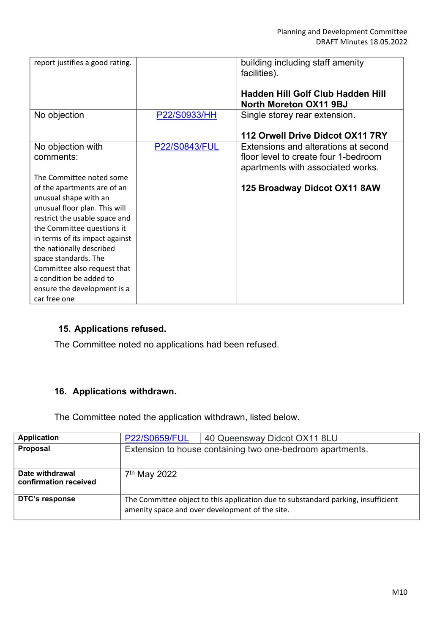| report justifies a good rating.                                                                                                                                                                                                                                                                                                                     |                      | building including staff amenity<br>facilities).                                                                  |
|-----------------------------------------------------------------------------------------------------------------------------------------------------------------------------------------------------------------------------------------------------------------------------------------------------------------------------------------------------|----------------------|-------------------------------------------------------------------------------------------------------------------|
|                                                                                                                                                                                                                                                                                                                                                     |                      | <b>Hadden Hill Golf Club Hadden Hill</b><br>North Moreton OX11 9BJ                                                |
| No objection                                                                                                                                                                                                                                                                                                                                        | P22/S0933/HH         | Single storey rear extension.                                                                                     |
|                                                                                                                                                                                                                                                                                                                                                     |                      | 112 Orwell Drive Didcot OX11 7RY                                                                                  |
| No objection with<br>comments:                                                                                                                                                                                                                                                                                                                      | <b>P22/S0843/FUL</b> | Extensions and alterations at second<br>floor level to create four 1-bedroom<br>apartments with associated works. |
| The Committee noted some                                                                                                                                                                                                                                                                                                                            |                      |                                                                                                                   |
| of the apartments are of an<br>unusual shape with an<br>unusual floor plan. This will<br>restrict the usable space and<br>the Committee questions it<br>in terms of its impact against<br>the nationally described<br>space standards. The<br>Committee also request that<br>a condition be added to<br>ensure the development is a<br>car free one |                      | 125 Broadway Didcot OX11 8AW                                                                                      |

# **15. Applications refused.**

The Committee noted no applications had been refused.

# **16. Applications withdrawn.**

The Committee noted the application withdrawn, listed below.

| <b>Application</b>                       | <b>P22/S0659/FUL</b>     | 40 Queensway Didcot OX11 8LU                                                                                                         |
|------------------------------------------|--------------------------|--------------------------------------------------------------------------------------------------------------------------------------|
| Proposal                                 |                          | Extension to house containing two one-bedroom apartments.                                                                            |
| Date withdrawal<br>confirmation received | 7 <sup>th</sup> May 2022 |                                                                                                                                      |
| DTC's response                           |                          | The Committee object to this application due to substandard parking, insufficient<br>amenity space and over development of the site. |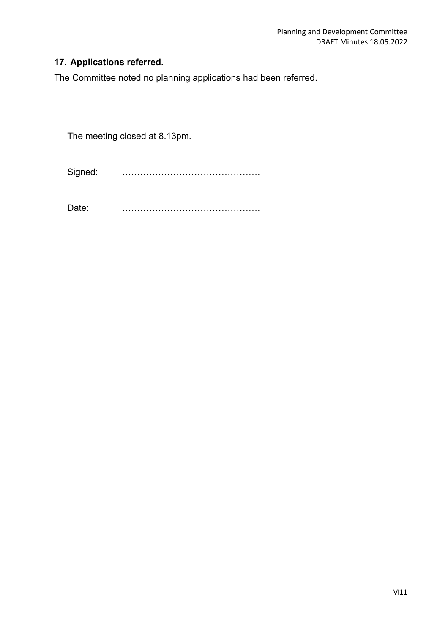# **17. Applications referred.**

The Committee noted no planning applications had been referred.

The meeting closed at 8.13pm.

Signed: ……………………………………….

Date: ……………………………………….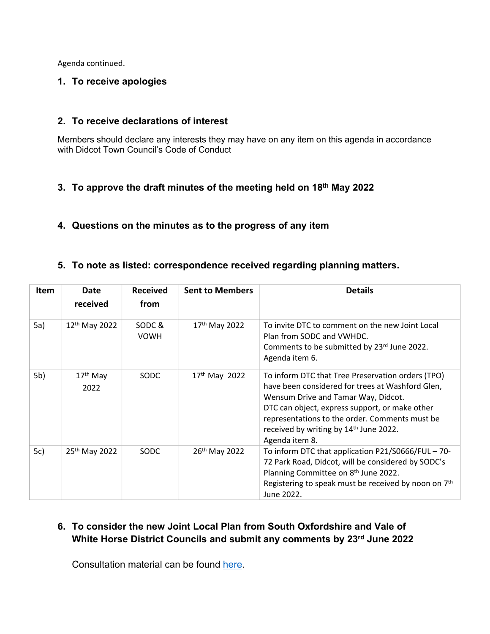Agenda continued.

#### **1. To receive apologies**

#### **2. To receive declarations of interest**

Members should declare any interests they may have on any item on this agenda in accordance with Didcot Town Council's Code of Conduct

## **3. To approve the draft minutes of the meeting held on 18th May 2022**

## **4. Questions on the minutes as to the progress of any item**

#### **5. To note as listed: correspondence received regarding planning matters.**

| Item | Date<br>received          | <b>Received</b><br>from | <b>Sent to Members</b>    | <b>Details</b>                                                                                                                                                                                                                                                                                                           |
|------|---------------------------|-------------------------|---------------------------|--------------------------------------------------------------------------------------------------------------------------------------------------------------------------------------------------------------------------------------------------------------------------------------------------------------------------|
| 5a)  | 12 <sup>th</sup> May 2022 | SODC&<br><b>VOWH</b>    | 17 <sup>th</sup> May 2022 | To invite DTC to comment on the new Joint Local<br>Plan from SODC and VWHDC.<br>Comments to be submitted by 23rd June 2022.<br>Agenda item 6.                                                                                                                                                                            |
| 5b)  | $17th$ May<br>2022        | SODC                    | 17th May 2022             | To inform DTC that Tree Preservation orders (TPO)<br>have been considered for trees at Washford Glen,<br>Wensum Drive and Tamar Way, Didcot.<br>DTC can object, express support, or make other<br>representations to the order. Comments must be<br>received by writing by 14 <sup>th</sup> June 2022.<br>Agenda item 8. |
| 5c)  | 25 <sup>th</sup> May 2022 | SODC                    | 26 <sup>th</sup> May 2022 | To inform DTC that application P21/S0666/FUL - 70-<br>72 Park Road, Didcot, will be considered by SODC's<br>Planning Committee on 8th June 2022.<br>Registering to speak must be received by noon on 7 <sup>th</sup><br>June 2022.                                                                                       |

# **6. To consider the new Joint Local Plan from South Oxfordshire and Vale of White Horse District Councils and submit any comments by 23rd June 2022**

Consultation material can be found [here.](https://www.southoxon.gov.uk/south-oxfordshire-district-council/planning-and-development/local-plan-and-planning-policies/local-plan-2041/)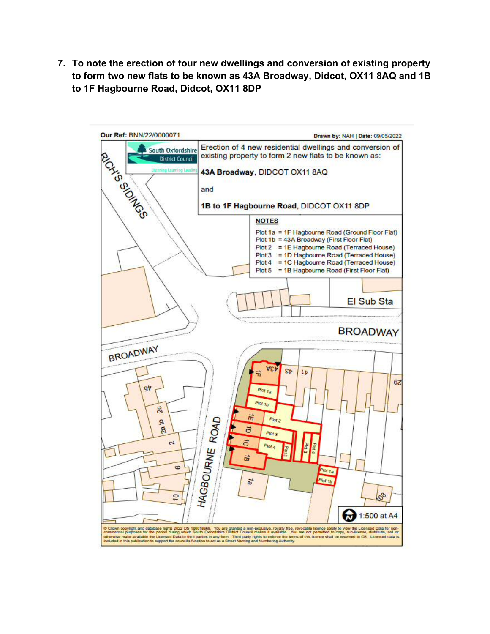**7. To note the erection of four new dwellings and conversion of existing property to form two new flats to be known as 43A Broadway, Didcot, OX11 8AQ and 1B to 1F Hagbourne Road, Didcot, OX11 8DP** 

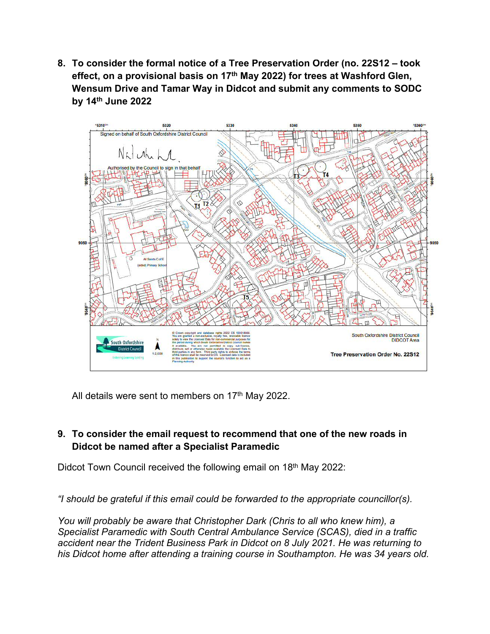**8. To consider the formal notice of a Tree Preservation Order (no. 22S12 – took effect, on a provisional basis on 17th May 2022) for trees at Washford Glen, Wensum Drive and Tamar Way in Didcot and submit any comments to SODC by 14th June 2022**



All details were sent to members on  $17<sup>th</sup>$  May 2022.

# **9. To consider the email request to recommend that one of the new roads in Didcot be named after a Specialist Paramedic**

Didcot Town Council received the following email on 18<sup>th</sup> May 2022:

*"I should be grateful if this email could be forwarded to the appropriate councillor(s).*

*You will probably be aware that Christopher Dark (Chris to all who knew him), a Specialist Paramedic with South Central Ambulance Service (SCAS), died in a traffic accident near the Trident Business Park in Didcot on 8 July 2021. He was returning to his Didcot home after attending a training course in Southampton. He was 34 years old.*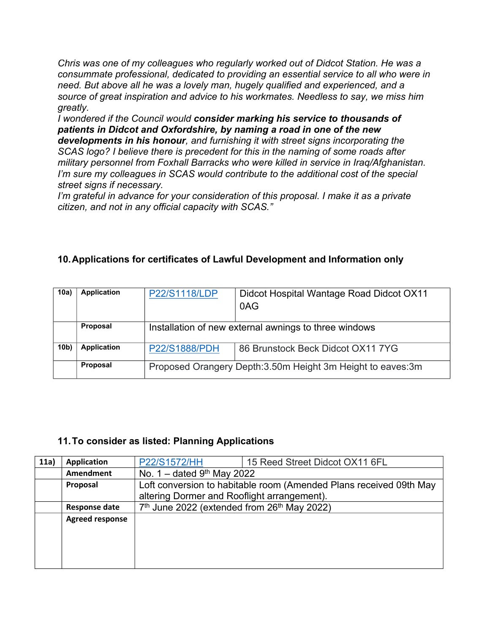*Chris was one of my colleagues who regularly worked out of Didcot Station. He was a consummate professional, dedicated to providing an essential service to all who were in need. But above all he was a lovely man, hugely qualified and experienced, and a source of great inspiration and advice to his workmates. Needless to say, we miss him greatly.*

*I wondered if the Council would consider marking his service to thousands of patients in Didcot and Oxfordshire, by naming a road in one of the new* 

*developments in his honour, and furnishing it with street signs incorporating the SCAS logo? I believe there is precedent for this in the naming of some roads after military personnel from Foxhall Barracks who were killed in service in Iraq/Afghanistan. I'm sure my colleagues in SCAS would contribute to the additional cost of the special street signs if necessary.*

*I'm grateful in advance for your consideration of this proposal. I make it as a private citizen, and not in any official capacity with SCAS."*

# **10.Applications for certificates of Lawful Development and Information only**

| 10a)            | <b>Application</b> | P22/S1118/LDP                                                | Didcot Hospital Wantage Road Didcot OX11<br>0AG |
|-----------------|--------------------|--------------------------------------------------------------|-------------------------------------------------|
|                 | Proposal           | Installation of new external awnings to three windows        |                                                 |
| 10 <sub>b</sub> | <b>Application</b> | <b>P22/S1888/PDH</b>                                         | 86 Brunstock Beck Didcot OX11 7YG               |
|                 | Proposal           | Proposed Orangery Depth: 3.50m Height 3m Height to eaves: 3m |                                                 |

#### **11.To consider as listed: Planning Applications**

| 11a) | Application            | <b>P22/S1572/HH</b>                                                 | 15 Reed Street Didcot OX11 6FL |  |
|------|------------------------|---------------------------------------------------------------------|--------------------------------|--|
|      | Amendment              | No. $1 -$ dated 9 <sup>th</sup> May 2022                            |                                |  |
|      | Proposal               | Loft conversion to habitable room (Amended Plans received 09th May  |                                |  |
|      |                        | altering Dormer and Rooflight arrangement).                         |                                |  |
|      | <b>Response date</b>   | 7 <sup>th</sup> June 2022 (extended from 26 <sup>th</sup> May 2022) |                                |  |
|      | <b>Agreed response</b> |                                                                     |                                |  |
|      |                        |                                                                     |                                |  |
|      |                        |                                                                     |                                |  |
|      |                        |                                                                     |                                |  |
|      |                        |                                                                     |                                |  |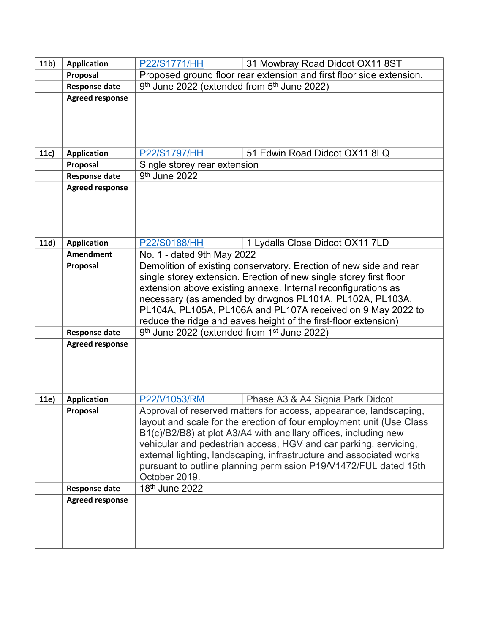| 11 <sub>b</sub> | <b>Application</b>                     | 31 Mowbray Road Didcot OX11 8ST<br><b>P22/S1771/HH</b>                                                                                   |  |  |
|-----------------|----------------------------------------|------------------------------------------------------------------------------------------------------------------------------------------|--|--|
|                 | Proposal                               | Proposed ground floor rear extension and first floor side extension.                                                                     |  |  |
|                 | <b>Response date</b>                   | 9th June 2022 (extended from 5th June 2022)                                                                                              |  |  |
|                 | <b>Agreed response</b>                 |                                                                                                                                          |  |  |
|                 |                                        |                                                                                                                                          |  |  |
|                 |                                        |                                                                                                                                          |  |  |
|                 |                                        |                                                                                                                                          |  |  |
| 11c)            | <b>Application</b>                     | 51 Edwin Road Didcot OX11 8LQ<br>P22/S1797/HH                                                                                            |  |  |
|                 | Proposal                               | Single storey rear extension                                                                                                             |  |  |
|                 | <b>Response date</b>                   | 9 <sup>th</sup> June 2022                                                                                                                |  |  |
|                 | <b>Agreed response</b>                 |                                                                                                                                          |  |  |
|                 |                                        |                                                                                                                                          |  |  |
|                 |                                        |                                                                                                                                          |  |  |
|                 |                                        |                                                                                                                                          |  |  |
|                 |                                        | P22/S0188/HH                                                                                                                             |  |  |
| 11d)            | <b>Application</b><br><b>Amendment</b> | 1 Lydalls Close Didcot OX11 7LD                                                                                                          |  |  |
|                 | Proposal                               | No. 1 - dated 9th May 2022                                                                                                               |  |  |
|                 |                                        | Demolition of existing conservatory. Erection of new side and rear<br>single storey extension. Erection of new single storey first floor |  |  |
|                 |                                        |                                                                                                                                          |  |  |
|                 |                                        | extension above existing annexe. Internal reconfigurations as<br>necessary (as amended by drwgnos PL101A, PL102A, PL103A,                |  |  |
|                 |                                        | PL104A, PL105A, PL106A and PL107A received on 9 May 2022 to                                                                              |  |  |
|                 |                                        | reduce the ridge and eaves height of the first-floor extension)                                                                          |  |  |
|                 | <b>Response date</b>                   | 9th June 2022 (extended from 1 <sup>st</sup> June 2022)                                                                                  |  |  |
|                 | <b>Agreed response</b>                 |                                                                                                                                          |  |  |
|                 |                                        |                                                                                                                                          |  |  |
|                 |                                        |                                                                                                                                          |  |  |
|                 |                                        |                                                                                                                                          |  |  |
|                 |                                        |                                                                                                                                          |  |  |
| 11e)            | <b>Application</b>                     | P22/V1053/RM<br>Phase A3 & A4 Signia Park Didcot                                                                                         |  |  |
|                 | Proposal                               | Approval of reserved matters for access, appearance, landscaping,                                                                        |  |  |
|                 |                                        | layout and scale for the erection of four employment unit (Use Class                                                                     |  |  |
|                 |                                        | B1(c)/B2/B8) at plot A3/A4 with ancillary offices, including new                                                                         |  |  |
|                 |                                        | vehicular and pedestrian access, HGV and car parking, servicing,                                                                         |  |  |
|                 |                                        | external lighting, landscaping, infrastructure and associated works                                                                      |  |  |
|                 |                                        | pursuant to outline planning permission P19/V1472/FUL dated 15th                                                                         |  |  |
|                 |                                        | October 2019.                                                                                                                            |  |  |
|                 | <b>Response date</b>                   | 18 <sup>th</sup> June 2022                                                                                                               |  |  |
|                 | <b>Agreed response</b>                 |                                                                                                                                          |  |  |
|                 |                                        |                                                                                                                                          |  |  |
|                 |                                        |                                                                                                                                          |  |  |
|                 |                                        |                                                                                                                                          |  |  |